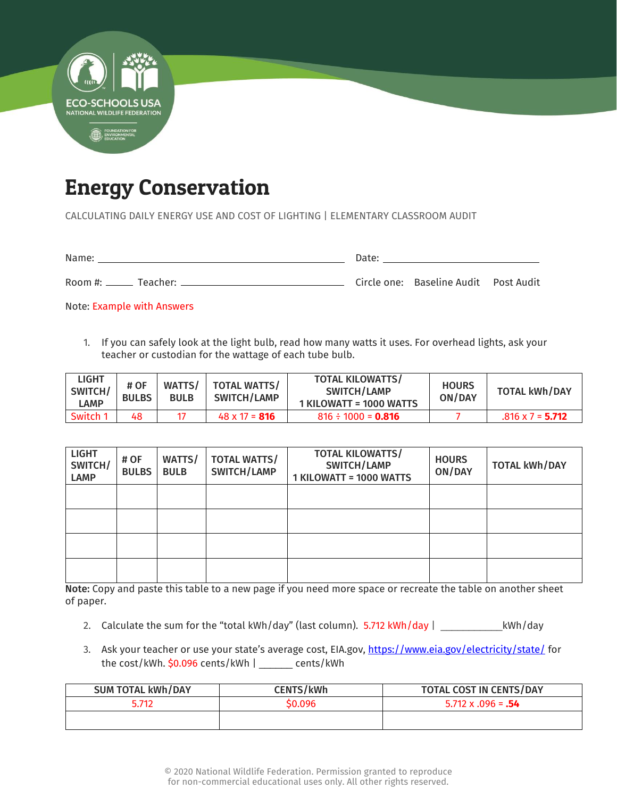

## Energy Conservation

CALCULATING DAILY ENERGY USE AND COST OF LIGHTING | ELEMENTARY CLASSROOM AUDIT

Name: Date:

Room #: Teacher: Circle one: Baseline Audit Post Audit

Note: Example with Answers

1. If you can safely look at the light bulb, read how many watts it uses. For overhead lights, ask your teacher or custodian for the wattage of each tube bulb.

| <b>LIGHT</b><br>SWITCH/<br>LAMP | # OF<br><b>BULBS</b> | WATTS/<br><b>BULB</b> | <b>TOTAL WATTS/</b><br>SWITCH/LAMP | <b>TOTAL KILOWATTS/</b><br>SWITCH/LAMP<br>1 KILOWATT = 1000 WATTS | <b>HOURS</b><br>ON/DAY | <b>TOTAL kWh/DAY</b>    |
|---------------------------------|----------------------|-----------------------|------------------------------------|-------------------------------------------------------------------|------------------------|-------------------------|
| Switch 1                        | 48                   |                       | $48 \times 17 = 816$               | $816 \div 1000 = 0.816$                                           |                        | $.816 \times 7 = 5.712$ |

| <b>LIGHT</b><br>SWITCH/<br><b>LAMP</b> | # OF<br><b>BULBS</b> | WATTS/<br><b>BULB</b> | <b>TOTAL WATTS/</b><br>SWITCH/LAMP | <b>TOTAL KILOWATTS/</b><br>SWITCH/LAMP<br>1 KILOWATT = 1000 WATTS | <b>HOURS</b><br>ON/DAY | <b>TOTAL kWh/DAY</b> |
|----------------------------------------|----------------------|-----------------------|------------------------------------|-------------------------------------------------------------------|------------------------|----------------------|
|                                        |                      |                       |                                    |                                                                   |                        |                      |
|                                        |                      |                       |                                    |                                                                   |                        |                      |
|                                        |                      |                       |                                    |                                                                   |                        |                      |
|                                        |                      |                       |                                    |                                                                   |                        |                      |

Note: Copy and paste this table to a new page if you need more space or recreate the table on another sheet of paper.

- 2. Calculate the sum for the "total kWh/day" (last column). 5.712 kWh/day | \_\_\_\_\_\_\_\_\_\_\_\_\_\_\_\_\_kWh/day
- 3. Ask your teacher or use your state's average cost, EIA.gov, <https://www.eia.gov/electricity/state/> for the cost/kWh. \$0.096 cents/kWh | \_\_\_\_\_\_ cents/kWh

| <b>SUM TOTAL kWh/DAY</b> | <b>CENTS/kWh</b> | TOTAL COST IN CENTS/DAY   |  |  |
|--------------------------|------------------|---------------------------|--|--|
| 5.712                    | \$0.096          | $5.712 \times 0.96 = .54$ |  |  |
|                          |                  |                           |  |  |